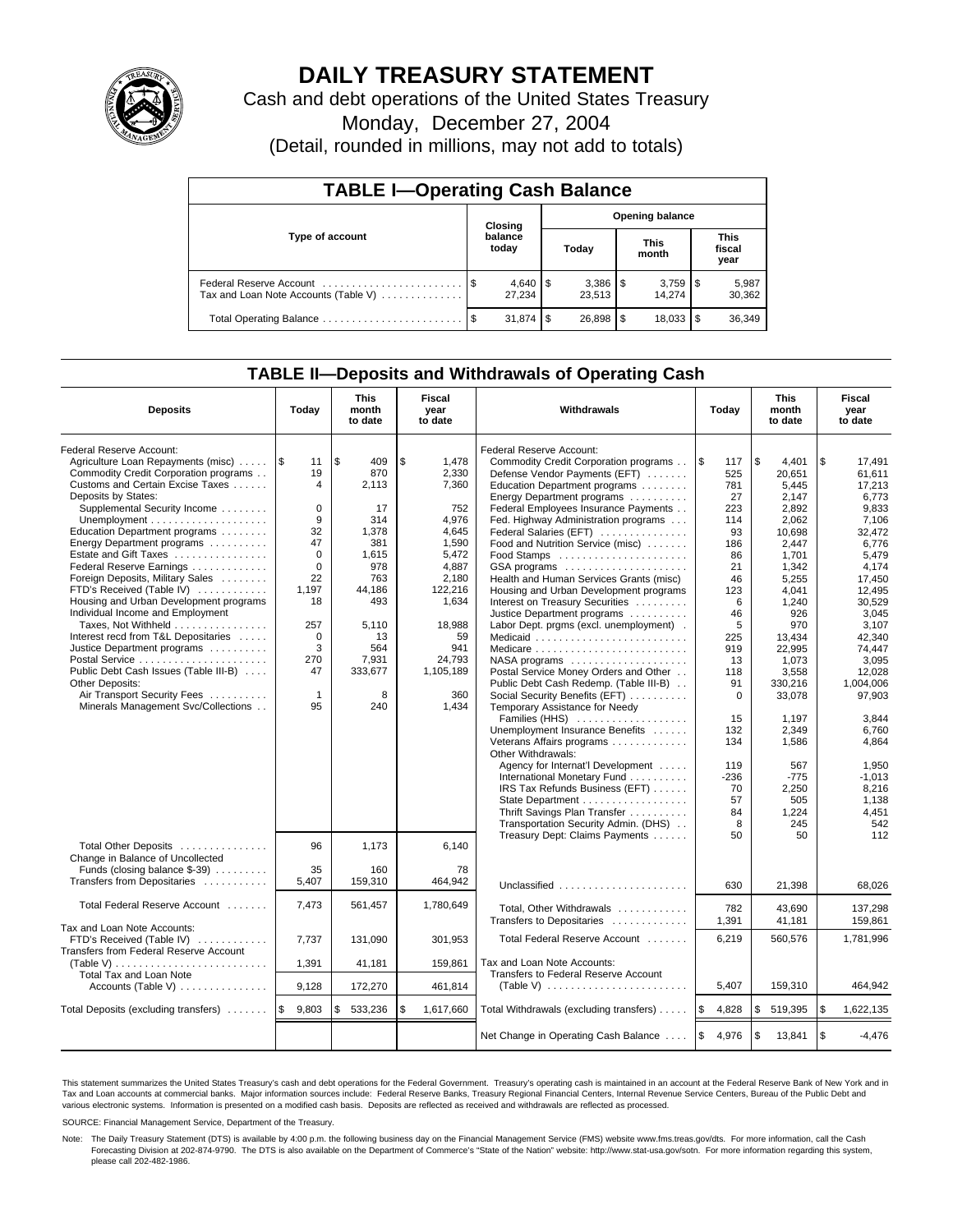

# **DAILY TREASURY STATEMENT**

Cash and debt operations of the United States Treasury

Monday, December 27, 2004

(Detail, rounded in millions, may not add to totals)

| <b>TABLE I-Operating Cash Balance</b> |         |                        |                        |                          |                      |                 |                               |                 |  |
|---------------------------------------|---------|------------------------|------------------------|--------------------------|----------------------|-----------------|-------------------------------|-----------------|--|
|                                       | Closing |                        | <b>Opening balance</b> |                          |                      |                 |                               |                 |  |
| Type of account                       |         | balance<br>today       | Today                  |                          | <b>This</b><br>month |                 | <b>This</b><br>fiscal<br>year |                 |  |
| Tax and Loan Note Accounts (Table V)  |         | $4,640$ \ \$<br>27.234 |                        | $3,386$ \ \ \$<br>23,513 |                      | 3,759<br>14.274 | 1\$                           | 5,987<br>30,362 |  |
|                                       |         | 31.874                 | l \$                   | $26.898$ \ \ \$          |                      | 18,033          |                               | 36,349          |  |

## **TABLE II—Deposits and Withdrawals of Operating Cash**

| <b>Deposits</b>                              | Today        | <b>This</b><br>month<br>to date | Fiscal<br>year<br>to date | Withdrawals                             | Today             | <b>This</b><br>month<br>to date | <b>Fiscal</b><br>year<br>to date |
|----------------------------------------------|--------------|---------------------------------|---------------------------|-----------------------------------------|-------------------|---------------------------------|----------------------------------|
| Federal Reserve Account:                     |              |                                 |                           | Federal Reserve Account:                |                   |                                 |                                  |
| Agriculture Loan Repayments (misc)           | 1\$<br>11    | \$<br>409                       | \$<br>1,478               | Commodity Credit Corporation programs   | \$<br>117         | \$<br>4.401                     | \$<br>17.491                     |
| Commodity Credit Corporation programs        | 19           | 870                             | 2,330                     | Defense Vendor Payments (EFT)           | 525               | 20,651                          | 61,611                           |
| Customs and Certain Excise Taxes             | 4            | 2,113                           | 7,360                     | Education Department programs           | 781               | 5,445                           | 17,213                           |
| Deposits by States:                          |              |                                 |                           | Energy Department programs              | 27                | 2,147                           | 6,773                            |
| Supplemental Security Income                 | $\mathbf 0$  | 17                              | 752                       | Federal Employees Insurance Payments    | 223               | 2,892                           | 9,833                            |
|                                              | 9            | 314                             | 4,976                     | Fed. Highway Administration programs    | 114               | 2.062                           | 7.106                            |
| Education Department programs                | 32           | 1,378                           | 4,645                     | Federal Salaries (EFT)                  | 93                | 10.698                          | 32.472                           |
| Energy Department programs                   | 47           | 381                             | 1.590                     | Food and Nutrition Service (misc)       | 186               | 2.447                           | 6.776                            |
| Estate and Gift Taxes                        | $\Omega$     | 1,615                           | 5,472                     |                                         | 86                | 1,701                           | 5,479                            |
| Federal Reserve Earnings                     | $\mathbf 0$  | 978                             | 4,887                     | GSA programs                            | 21                | 1,342                           | 4.174                            |
| Foreign Deposits, Military Sales             | 22           | 763                             | 2,180                     | Health and Human Services Grants (misc) | 46                | 5,255                           | 17,450                           |
| FTD's Received (Table IV)                    | 1,197        | 44,186                          | 122,216                   | Housing and Urban Development programs  | 123               | 4,041                           | 12,495                           |
| Housing and Urban Development programs       | 18           | 493                             | 1,634                     | Interest on Treasury Securities         | 6                 | 1,240                           | 30,529                           |
| Individual Income and Employment             |              |                                 |                           | Justice Department programs             | 46                | 926                             | 3,045                            |
| Taxes, Not Withheld                          | 257          | 5,110                           | 18,988                    | Labor Dept. prgms (excl. unemployment). | 5                 | 970                             | 3.107                            |
| Interest recd from T&L Depositaries          | $\mathbf 0$  | 13                              | 59                        | Medicaid                                | 225               | 13.434                          | 42.340                           |
| Justice Department programs                  | 3            | 564                             | 941                       |                                         | 919               | 22,995                          | 74,447                           |
|                                              | 270          | 7,931                           | 24,793                    | NASA programs                           | 13                | 1,073                           | 3,095                            |
| Public Debt Cash Issues (Table III-B)        | 47           | 333,677                         | 1,105,189                 | Postal Service Money Orders and Other   | 118               | 3,558                           | 12.028                           |
| Other Deposits:                              |              |                                 |                           | Public Debt Cash Redemp. (Table III-B)  | 91                | 330,216                         | 1,004,006                        |
| Air Transport Security Fees                  | $\mathbf{1}$ | 8                               | 360                       | Social Security Benefits (EFT)          | $\mathbf 0$       | 33,078                          | 97,903                           |
| Minerals Management Svc/Collections          | 95           | 240                             | 1,434                     | Temporary Assistance for Needy          |                   |                                 |                                  |
|                                              |              |                                 |                           | Families (HHS)                          | 15                | 1,197                           | 3,844                            |
|                                              |              |                                 |                           | Unemployment Insurance Benefits         | 132               | 2.349                           | 6.760                            |
|                                              |              |                                 |                           | Veterans Affairs programs               | 134               | 1.586                           | 4.864                            |
|                                              |              |                                 |                           | Other Withdrawals:                      |                   |                                 |                                  |
|                                              |              |                                 |                           | Agency for Internat'l Development       | 119               | 567                             | 1,950                            |
|                                              |              |                                 |                           | International Monetary Fund             | $-236$            | $-775$                          | $-1.013$                         |
|                                              |              |                                 |                           | IRS Tax Refunds Business (EFT)          | 70                | 2,250                           | 8,216                            |
|                                              |              |                                 |                           | State Department                        | 57                | 505                             | 1,138                            |
|                                              |              |                                 |                           | Thrift Savings Plan Transfer            | 84                | 1,224                           | 4,451                            |
|                                              |              |                                 |                           | Transportation Security Admin. (DHS)    | 8                 | 245                             | 542                              |
|                                              |              |                                 |                           | Treasury Dept: Claims Payments          | 50                | 50                              | 112                              |
| Total Other Deposits                         | 96           | 1.173                           | 6.140                     |                                         |                   |                                 |                                  |
| Change in Balance of Uncollected             |              |                                 |                           |                                         |                   |                                 |                                  |
| Funds (closing balance \$-39)                | 35           | 160                             | 78                        |                                         |                   |                                 |                                  |
| Transfers from Depositaries                  | 5,407        | 159,310                         | 464.942                   | Unclassified                            | 630               | 21,398                          | 68,026                           |
|                                              |              |                                 |                           |                                         |                   |                                 |                                  |
| Total Federal Reserve Account                | 7,473        | 561,457                         | 1,780,649                 | Total, Other Withdrawals                | 782               | 43,690                          | 137,298                          |
|                                              |              |                                 |                           | Transfers to Depositaries               | 1,391             | 41,181                          | 159,861                          |
| Tax and Loan Note Accounts:                  |              |                                 |                           |                                         |                   |                                 |                                  |
| FTD's Received (Table IV)                    | 7,737        | 131,090                         | 301,953                   | Total Federal Reserve Account           | 6,219             | 560,576                         | 1,781,996                        |
| Transfers from Federal Reserve Account       |              |                                 |                           |                                         |                   |                                 |                                  |
| (Table V)                                    | 1.391        | 41,181                          | 159.861                   | Tax and Loan Note Accounts:             |                   |                                 |                                  |
| Total Tax and Loan Note                      |              |                                 |                           | Transfers to Federal Reserve Account    |                   |                                 |                                  |
| Accounts (Table V) $\dots \dots \dots \dots$ | 9,128        | 172,270                         | 461,814                   |                                         | 5,407             | 159,310                         | 464.942                          |
| Total Deposits (excluding transfers)         | 9,803<br>\$  | 533,236<br>\$                   | \$<br>1,617,660           | Total Withdrawals (excluding transfers) | <b>S</b><br>4,828 | \$<br>519,395                   | \$<br>1,622,135                  |
|                                              |              |                                 |                           |                                         |                   |                                 |                                  |
|                                              |              |                                 |                           | Net Change in Operating Cash Balance    | l \$<br>4,976     | \$<br>13,841                    | \$<br>$-4.476$                   |

This statement summarizes the United States Treasury's cash and debt operations for the Federal Government. Treasury's operating cash is maintained in an account at the Federal Reserve Bank of New York and in Tax and Loan accounts at commercial banks. Major information sources include: Federal Reserve Banks, Treasury Regional Financial Centers, Internal Revenue Service Centers, Bureau of the Public Debt and<br>various electronic s

SOURCE: Financial Management Service, Department of the Treasury.

Note: The Daily Treasury Statement (DTS) is available by 4:00 p.m. the following business day on the Financial Management Service (FMS) website www.fms.treas.gov/dts. For more information, call the Cash Forecasting Division at 202-874-9790. The DTS is also available on the Department of Commerce's "State of the Nation" website: http://www.stat-usa.gov/sotn. For more information regarding this system, please call 202-482-1986.